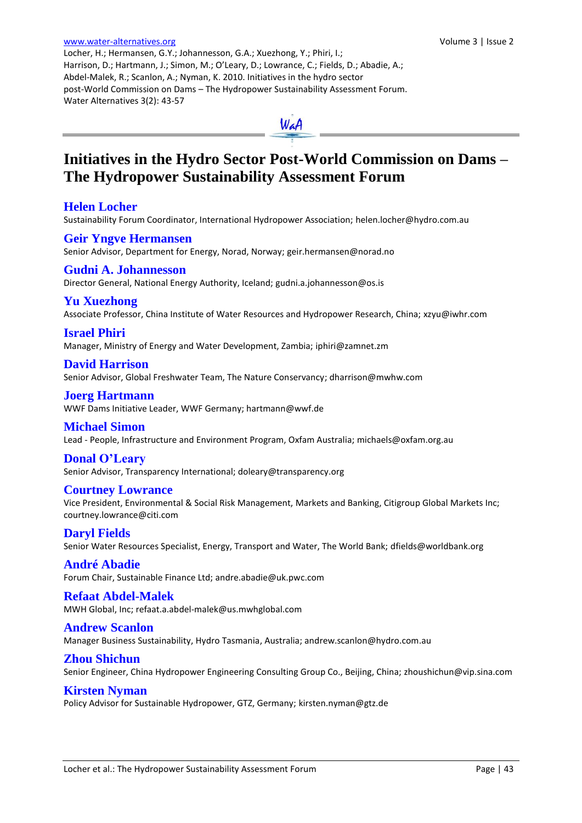Locher, H.; Hermansen, G.Y.; Johannesson, G.A.; Xuezhong, Y.; Phiri, I.; Harrison, D.; Hartmann, J.; Simon, M.; O'Leary, D.; Lowrance, C.; Fields, D.; Abadie, A.; Abdel-Malek, R.; Scanlon, A.; Nyman, K. 2010. Initiatives in the hydro sector post-World Commission on Dams – The Hydropower Sustainability Assessment Forum. Water Alternatives 3(2): 43-57



# **Initiatives in the Hydro Sector Post-World Commission on Dams – The Hydropower Sustainability Assessment Forum**

## **Helen Locher**

Sustainability Forum Coordinator, International Hydropower Association; helen.locher@hydro.com.au

# **Geir Yngve Hermansen** Senior Advisor, Department for Energy, Norad, Norway[; geir.hermansen@norad.no](mailto:geir.hermansen@norad.no)

**Gudni A. Johannesson** Director General, National Energy Authority, Iceland; [gudni.a.johannesson@os.is](mailto:gudni.a.johannesson@os.is)

## **Yu Xuezhong**

Associate Professor, China Institute of Water Resources and Hydropower Research, China; [xzyu@iwhr.com](mailto:xzyu@iwhr.com)

## **Israel Phiri**

Manager, Ministry of Energy and Water Development, Zambia; [iphiri@zamnet.zm](mailto:iphiri@zamnet.zm)

## **David Harrison**

Senior Advisor, Global Freshwater Team, The Nature Conservancy; [dharrison@mwhw.com](mailto:dharrison@mwhw.com)

## **Joerg Hartmann**

WWF Dams Initiative Leader, WWF Germany; [hartmann@wwf.de](mailto:Hartmann@wwf.de)

## **Michael Simon**

Lead - People, Infrastructure and Environment Program, Oxfam Australia; [michaels@oxfam.org.au](mailto:michaels@oxfam.org.au)

# **Donal O'Leary**

Senior Advisor, Transparency International[; doleary@transparency.org](mailto:doleary@transparency.org) 

## **Courtney Lowrance**

Vice President, Environmental & Social Risk Management, Markets and Banking, Citigroup Global Markets Inc; [courtney.lowrance@citi.com](mailto:courtney.lowrance@citi.com) 

# **Daryl Fields**

Senior Water Resources Specialist, Energy, Transport and Water, The World Bank[; dfields@worldbank.org](mailto:dfields@worldbank.org)

## **André Abadie**

Forum Chair, Sustainable Finance Ltd; [andre.abadie@uk.pwc.com](mailto:andre.abadie@uk.pwc.com)

## **Refaat Abdel-Malek**

MWH Global, Inc; refaat.a.abdel-malek@us.mwhglobal.com

## **Andrew Scanlon**

[Manager Business Sustainability, Hydro Tasmania,](mailto:Andrew.Scanlon@hydro.com.au) Australia[; andrew.scanlon@hydro.com.au](mailto:Andrew.Scanlon@hydro.com.au)

## **Zhou Shichun**

Senior Engineer, China Hydropower Engineering Consulting Group Co., Beijing, China; [zhoushichun@vip.sina.com](mailto:zhoushichun@vip.sina.com)

# **Kirsten Nyman**

Policy Advisor for Sustainable Hydropower, GTZ, Germany[; kirsten.nyman@gtz.de](mailto:kirsten.nyman@gtz.de)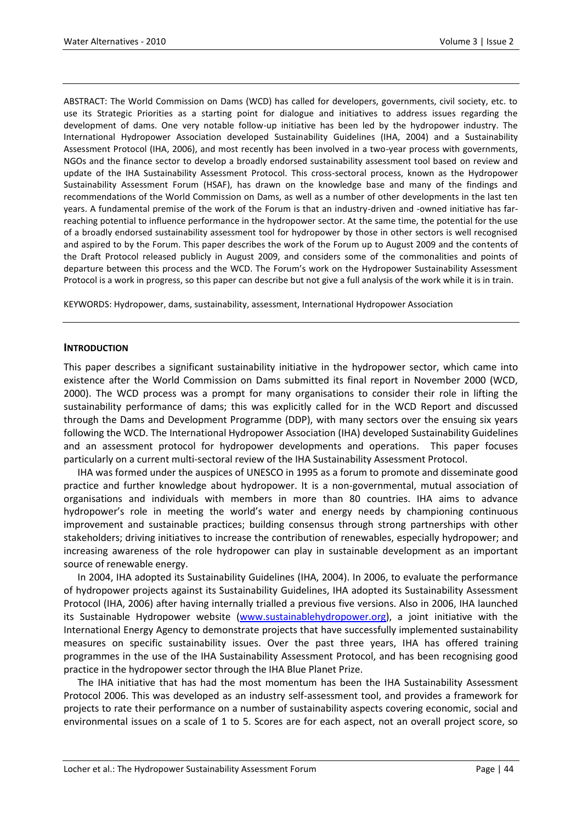ABSTRACT: The World Commission on Dams (WCD) has called for developers, governments, civil society, etc. to use its Strategic Priorities as a starting point for dialogue and initiatives to address issues regarding the development of dams. One very notable follow-up initiative has been led by the hydropower industry. The International Hydropower Association developed Sustainability Guidelines (IHA, 2004) and a Sustainability Assessment Protocol (IHA, 2006), and most recently has been involved in a two-year process with governments, NGOs and the finance sector to develop a broadly endorsed sustainability assessment tool based on review and update of the IHA Sustainability Assessment Protocol. This cross-sectoral process, known as the Hydropower Sustainability Assessment Forum (HSAF), has drawn on the knowledge base and many of the findings and recommendations of the World Commission on Dams, as well as a number of other developments in the last ten years. A fundamental premise of the work of the Forum is that an industry-driven and -owned initiative has farreaching potential to influence performance in the hydropower sector. At the same time, the potential for the use of a broadly endorsed sustainability assessment tool for hydropower by those in other sectors is well recognised and aspired to by the Forum. This paper describes the work of the Forum up to August 2009 and the contents of the Draft Protocol released publicly in August 2009, and considers some of the commonalities and points of departure between this process and the WCD. The Forum's work on the Hydropower Sustainability Assessment Protocol is a work in progress, so this paper can describe but not give a full analysis of the work while it is in train.

KEYWORDS: Hydropower, dams, sustainability, assessment, International Hydropower Association

#### **INTRODUCTION**

This paper describes a significant sustainability initiative in the hydropower sector, which came into existence after the World Commission on Dams submitted its final report in November 2000 (WCD, 2000). The WCD process was a prompt for many organisations to consider their role in lifting the sustainability performance of dams; this was explicitly called for in the WCD Report and discussed through the Dams and Development Programme (DDP), with many sectors over the ensuing six years following the WCD. The International Hydropower Association (IHA) developed Sustainability Guidelines and an assessment protocol for hydropower developments and operations. This paper focuses particularly on a current multi-sectoral review of the IHA Sustainability Assessment Protocol.

IHA was formed under the auspices of UNESCO in 1995 as a forum to promote and disseminate good practice and further knowledge about hydropower. It is a non-governmental, mutual association of organisations and individuals with members in more than 80 countries. IHA aims to advance hydropower's role in meeting the world's water and energy needs by championing continuous improvement and sustainable practices; building consensus through strong partnerships with other stakeholders; driving initiatives to increase the contribution of renewables, especially hydropower; and increasing awareness of the role hydropower can play in sustainable development as an important source of renewable energy.

In 2004, IHA adopted its Sustainability Guidelines (IHA, 2004). In 2006, to evaluate the performance of hydropower projects against its Sustainability Guidelines, IHA adopted its Sustainability Assessment Protocol (IHA, 2006) after having internally trialled a previous five versions. Also in 2006, IHA launched its Sustainable Hydropower website [\(www.sustainablehydropower.org\)](http://www.sustainablehydropower.org/), a joint initiative with the International Energy Agency to demonstrate projects that have successfully implemented sustainability measures on specific sustainability issues. Over the past three years, IHA has offered training programmes in the use of the IHA Sustainability Assessment Protocol, and has been recognising good practice in the hydropower sector through the IHA Blue Planet Prize.

The IHA initiative that has had the most momentum has been the IHA Sustainability Assessment Protocol 2006. This was developed as an industry self-assessment tool, and provides a framework for projects to rate their performance on a number of sustainability aspects covering economic, social and environmental issues on a scale of 1 to 5. Scores are for each aspect, not an overall project score, so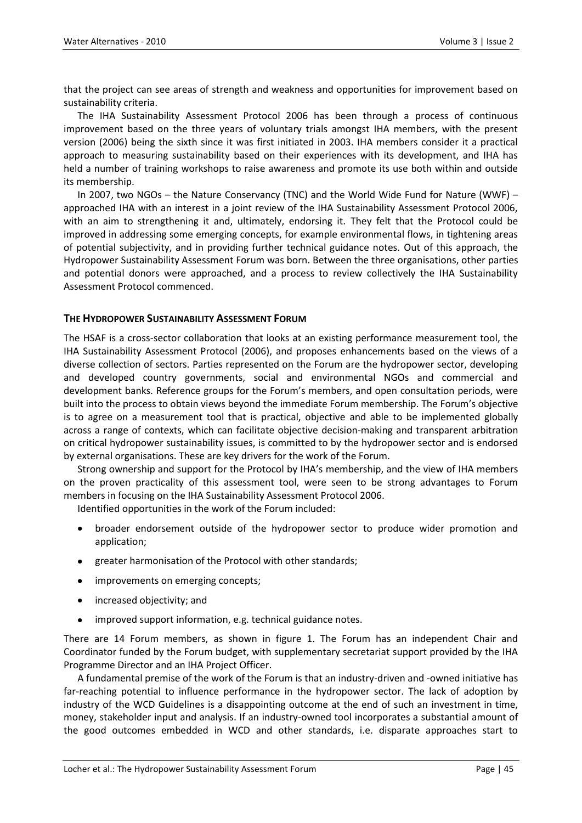that the project can see areas of strength and weakness and opportunities for improvement based on sustainability criteria.

The IHA Sustainability Assessment Protocol 2006 has been through a process of continuous improvement based on the three years of voluntary trials amongst IHA members, with the present version (2006) being the sixth since it was first initiated in 2003. IHA members consider it a practical approach to measuring sustainability based on their experiences with its development, and IHA has held a number of training workshops to raise awareness and promote its use both within and outside its membership.

In 2007, two NGOs – the Nature Conservancy (TNC) and the World Wide Fund for Nature (WWF) – approached IHA with an interest in a joint review of the IHA Sustainability Assessment Protocol 2006, with an aim to strengthening it and, ultimately, endorsing it. They felt that the Protocol could be improved in addressing some emerging concepts, for example environmental flows, in tightening areas of potential subjectivity, and in providing further technical guidance notes. Out of this approach, the Hydropower Sustainability Assessment Forum was born. Between the three organisations, other parties and potential donors were approached, and a process to review collectively the IHA Sustainability Assessment Protocol commenced.

## **THE HYDROPOWER SUSTAINABILITY ASSESSMENT FORUM**

The HSAF is a cross-sector collaboration that looks at an existing performance measurement tool, the IHA Sustainability Assessment Protocol (2006), and proposes enhancements based on the views of a diverse collection of sectors. Parties represented on the Forum are the hydropower sector, developing and developed country governments, social and environmental NGOs and commercial and development banks. Reference groups for the Forum's members, and open consultation periods, were built into the process to obtain views beyond the immediate Forum membership. The Forum's objective is to agree on a measurement tool that is practical, objective and able to be implemented globally across a range of contexts, which can facilitate objective decision-making and transparent arbitration on critical hydropower sustainability issues, is committed to by the hydropower sector and is endorsed by external organisations. These are key drivers for the work of the Forum.

Strong ownership and support for the Protocol by IHA's membership, and the view of IHA members on the proven practicality of this assessment tool, were seen to be strong advantages to Forum members in focusing on the IHA Sustainability Assessment Protocol 2006.

Identified opportunities in the work of the Forum included:

- broader endorsement outside of the hydropower sector to produce wider promotion and application;
- greater harmonisation of the Protocol with other standards;
- improvements on emerging concepts;
- increased objectivity; and
- improved support information, e.g. technical guidance notes.

There are 14 Forum members, as shown in figure 1. The Forum has an independent Chair and Coordinator funded by the Forum budget, with supplementary secretariat support provided by the IHA Programme Director and an IHA Project Officer.

A fundamental premise of the work of the Forum is that an industry-driven and -owned initiative has far-reaching potential to influence performance in the hydropower sector. The lack of adoption by industry of the WCD Guidelines is a disappointing outcome at the end of such an investment in time, money, stakeholder input and analysis. If an industry-owned tool incorporates a substantial amount of the good outcomes embedded in WCD and other standards, i.e. disparate approaches start to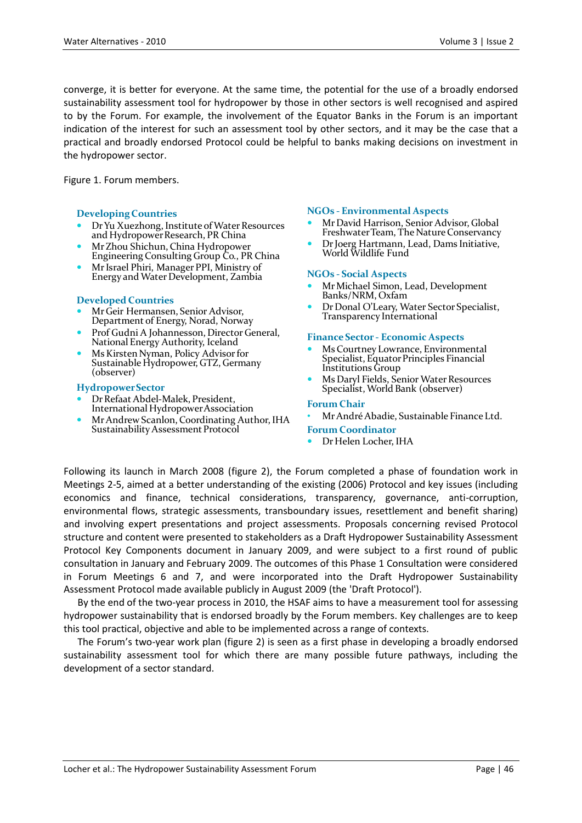converge, it is better for everyone. At the same time, the potential for the use of a broadly endorsed sustainability assessment tool for hydropower by those in other sectors is well recognised and aspired to by the Forum. For example, the involvement of the Equator Banks in the Forum is an important indication of the interest for such an assessment tool by other sectors, and it may be the case that a practical and broadly endorsed Protocol could be helpful to banks making decisions on investment in the hydropower sector.

Figure 1. Forum members.

#### **Developing Countries**

- Dr Yu Xuezhong, Institute of Water Resources and Hydropower Research, PR China
- Mr Zhou Shichun, China Hydropower Engineering Consulting Group Co., PR China
- Mr Israel Phiri, Manager PPI, Ministry of Energy and Water Development, Zambia

#### **Developed Countries**

- Mr Geir Hermansen, Senior Advisor, Department of Energy, Norad, Norway
- Prof Gudni A Johannesson, Director General, National Energy Authority, Iceland
- Ms Kirsten Nyman, Policy Advisor for Sustainable Hydropower, GTZ, Germany (observer)

#### **Hydropower Sector**

- Dr Refaat Abdel-Malek, President, International Hydropower Association
- Mr Andrew Scanlon, Coordinating Author, IHA Sustainability Assessment Protocol

#### **NGOs - Environmental Aspects**

- Mr David Harrison, Senior Advisor, Global Freshwater Team, The Nature Conservancy
- Dr Joerg Hartmann, Lead, Dams Initiative, World Wildlife Fund

#### **NGOs - Social Aspects**

- Mr Michael Simon, Lead, Development Banks/NRM, Oxfam
- Dr Donal O'Leary, Water Sector Specialist, Transparency International

#### **Finance Sector - Economic Aspects**

- Ms Courtney Lowrance, Environmental Specialist, Equator Principles Financial Institutions Group
- Ms Daryl Fields, Senior Water Resources Specialist, World Bank (observer)

#### **Forum Chair**

- Mr André Abadie, Sustainable Finance Ltd.
- **Forum Coordinator**
- Dr Helen Locher, IHA

Following its launch in March 2008 (figure 2), the Forum completed a phase of foundation work in Meetings 2-5, aimed at a better understanding of the existing (2006) Protocol and key issues (including economics and finance, technical considerations, transparency, governance, anti-corruption, environmental flows, strategic assessments, transboundary issues, resettlement and benefit sharing) and involving expert presentations and project assessments. Proposals concerning revised Protocol structure and content were presented to stakeholders as a Draft Hydropower Sustainability Assessment Protocol Key Components document in January 2009, and were subject to a first round of public consultation in January and February 2009. The outcomes of this Phase 1 Consultation were considered in Forum Meetings 6 and 7, and were incorporated into the Draft Hydropower Sustainability Assessment Protocol made available publicly in August 2009 (the 'Draft Protocol').

By the end of the two-year process in 2010, the HSAF aims to have a measurement tool for assessing hydropower sustainability that is endorsed broadly by the Forum members. Key challenges are to keep this tool practical, objective and able to be implemented across a range of contexts.

The Forum's two-year work plan (figure 2) is seen as a first phase in developing a broadly endorsed sustainability assessment tool for which there are many possible future pathways, including the development of a sector standard.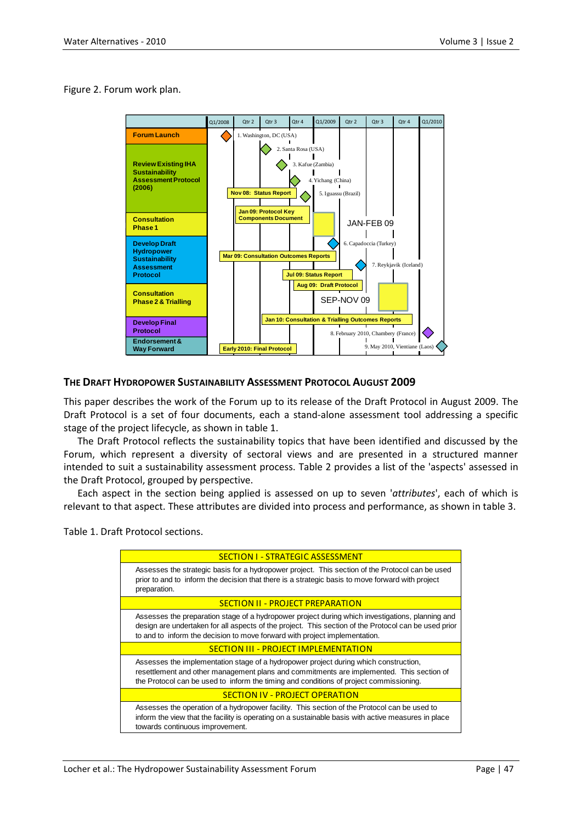#### Figure 2. Forum work plan.



## **THE DRAFT HYDROPOWER SUSTAINABILITY ASSESSMENT PROTOCOL AUGUST 2009**

This paper describes the work of the Forum up to its release of the Draft Protocol in August 2009. The Draft Protocol is a set of four documents, each a stand-alone assessment tool addressing a specific stage of the project lifecycle, as shown in table 1.

The Draft Protocol reflects the sustainability topics that have been identified and discussed by the Forum, which represent a diversity of sectoral views and are presented in a structured manner intended to suit a sustainability assessment process. Table 2 provides a list of the 'aspects' assessed in the Draft Protocol, grouped by perspective.

Each aspect in the section being applied is assessed on up to seven '*attributes*', each of which is relevant to that aspect. These attributes are divided into process and performance, as shown in table 3.

Table 1. Draft Protocol sections.

| <b>SECTION I - STRATEGIC ASSESSMENT</b>                                                                                                                                                                                                                                                |  |  |
|----------------------------------------------------------------------------------------------------------------------------------------------------------------------------------------------------------------------------------------------------------------------------------------|--|--|
| Assesses the strategic basis for a hydropower project. This section of the Protocol can be used<br>prior to and to inform the decision that there is a strategic basis to move forward with project<br>preparation.                                                                    |  |  |
| <b>SECTION II - PROJECT PREPARATION</b>                                                                                                                                                                                                                                                |  |  |
| Assesses the preparation stage of a hydropower project during which investigations, planning and<br>design are undertaken for all aspects of the project. This section of the Protocol can be used prior<br>to and to inform the decision to move forward with project implementation. |  |  |
| <b>SECTION III - PROJECT IMPLEMENTATION</b>                                                                                                                                                                                                                                            |  |  |
| Assesses the implementation stage of a hydropower project during which construction,<br>resettlement and other management plans and commitments are implemented. This section of<br>the Protocol can be used to inform the timing and conditions of project commissioning.             |  |  |
| <b>SECTION IV - PROJECT OPERATION</b>                                                                                                                                                                                                                                                  |  |  |
|                                                                                                                                                                                                                                                                                        |  |  |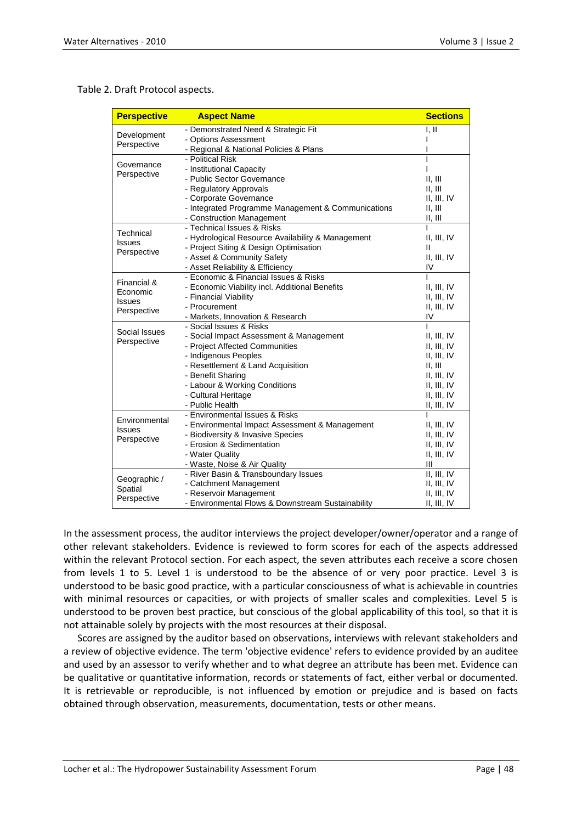Table 2. Draft Protocol aspects.

| <b>Perspective</b>           | <b>Aspect Name</b>                                 | <b>Sections</b> |
|------------------------------|----------------------------------------------------|-----------------|
|                              | - Demonstrated Need & Strategic Fit                | I, II           |
| Development<br>Perspective   | - Options Assessment                               |                 |
|                              | - Regional & National Policies & Plans             |                 |
| Governance<br>Perspective    | - Political Risk                                   |                 |
|                              | - Institutional Capacity                           |                 |
|                              | - Public Sector Governance                         | II, III         |
|                              | - Regulatory Approvals                             | II, III         |
|                              | - Corporate Governance                             | II, III, IV     |
|                              | - Integrated Programme Management & Communications | II, III         |
|                              | - Construction Management                          | II, III         |
| Technical                    | - Technical Issues & Risks                         |                 |
| <b>Issues</b><br>Perspective | - Hydrological Resource Availability & Management  | II, III, IV     |
|                              | - Project Siting & Design Optimisation             | Ш               |
|                              | - Asset & Community Safety                         | II, III, IV     |
|                              | - Asset Reliability & Efficiency                   | IV              |
| Financial &                  | - Economic & Financial Issues & Risks              |                 |
| Economic                     | - Economic Viability incl. Additional Benefits     | II, III, IV     |
| <b>Issues</b>                | - Financial Viability                              | II, III, IV     |
| Perspective                  | - Procurement                                      | II, III, IV     |
|                              | - Markets, Innovation & Research                   | IV              |
| Social Issues                | - Social Issues & Risks                            |                 |
| Perspective                  | - Social Impact Assessment & Management            | II, III, IV     |
|                              | - Project Affected Communities                     | II, III, IV     |
|                              | - Indigenous Peoples                               | II, III, IV     |
|                              | - Resettlement & Land Acquisition                  | II, III         |
|                              | - Benefit Sharing                                  | II, III, IV     |
|                              | - Labour & Working Conditions                      | II, III, IV     |
|                              | - Cultural Heritage                                | II, III, IV     |
|                              | - Public Health                                    | II, III, IV     |
| Environmental                | - Environmental Issues & Risks                     |                 |
| <b>Issues</b>                | - Environmental Impact Assessment & Management     | II, III, IV     |
| Perspective                  | - Biodiversity & Invasive Species                  | II, III, IV     |
|                              | - Erosion & Sedimentation                          | II, III, IV     |
|                              | - Water Quality                                    | II, III, IV     |
|                              | - Waste, Noise & Air Quality                       | Ш               |
| Geographic /                 | - River Basin & Transboundary Issues               | II, III, IV     |
| Spatial                      | - Catchment Management                             | II, III, IV     |
| Perspective                  | - Reservoir Management                             | II, III, IV     |
|                              | - Environmental Flows & Downstream Sustainability  | II, III, IV     |

In the assessment process, the auditor interviews the project developer/owner/operator and a range of other relevant stakeholders. Evidence is reviewed to form scores for each of the aspects addressed within the relevant Protocol section. For each aspect, the seven attributes each receive a score chosen from levels 1 to 5. Level 1 is understood to be the absence of or very poor practice. Level 3 is understood to be basic good practice, with a particular consciousness of what is achievable in countries with minimal resources or capacities, or with projects of smaller scales and complexities. Level 5 is understood to be proven best practice, but conscious of the global applicability of this tool, so that it is not attainable solely by projects with the most resources at their disposal.

Scores are assigned by the auditor based on observations, interviews with relevant stakeholders and a review of objective evidence. The term 'objective evidence' refers to evidence provided by an auditee and used by an assessor to verify whether and to what degree an attribute has been met. Evidence can be qualitative or quantitative information, records or statements of fact, either verbal or documented. It is retrievable or reproducible, is not influenced by emotion or prejudice and is based on facts obtained through observation, measurements, documentation, tests or other means.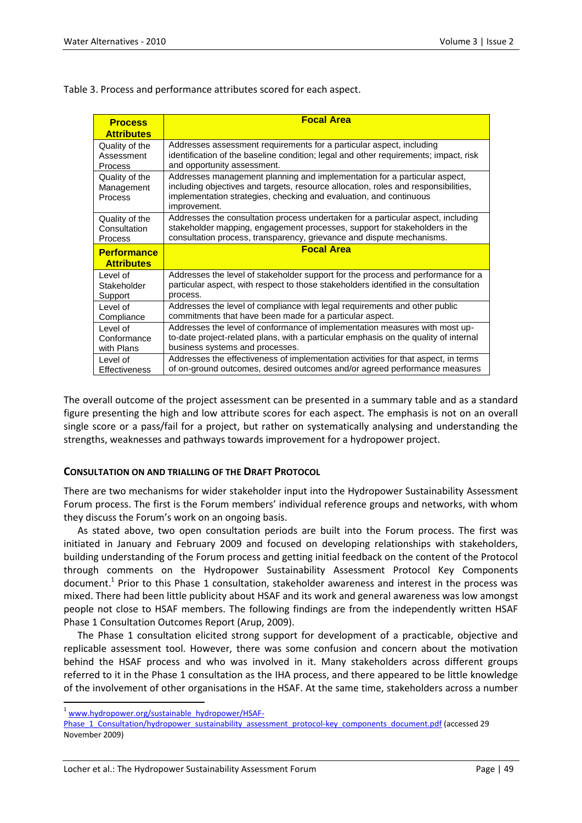Table 3. Process and performance attributes scored for each aspect.

| <b>Process</b><br><b>Attributes</b>     | <b>Focal Area</b>                                                                                                                                                                                                                                     |  |
|-----------------------------------------|-------------------------------------------------------------------------------------------------------------------------------------------------------------------------------------------------------------------------------------------------------|--|
| Quality of the                          | Addresses assessment requirements for a particular aspect, including                                                                                                                                                                                  |  |
| Assessment                              | identification of the baseline condition; legal and other requirements; impact, risk                                                                                                                                                                  |  |
| <b>Process</b>                          | and opportunity assessment.                                                                                                                                                                                                                           |  |
| Quality of the<br>Management<br>Process | Addresses management planning and implementation for a particular aspect,<br>including objectives and targets, resource allocation, roles and responsibilities,<br>implementation strategies, checking and evaluation, and continuous<br>improvement. |  |
| Quality of the                          | Addresses the consultation process undertaken for a particular aspect, including                                                                                                                                                                      |  |
| Consultation                            | stakeholder mapping, engagement processes, support for stakeholders in the                                                                                                                                                                            |  |
| <b>Process</b>                          | consultation process, transparency, grievance and dispute mechanisms.                                                                                                                                                                                 |  |
| <b>Performance</b><br><b>Attributes</b> | <b>Focal Area</b>                                                                                                                                                                                                                                     |  |
| Level of                                | Addresses the level of stakeholder support for the process and performance for a                                                                                                                                                                      |  |
| Stakeholder                             | particular aspect, with respect to those stakeholders identified in the consultation                                                                                                                                                                  |  |
| Support                                 | process.                                                                                                                                                                                                                                              |  |
| Level of                                | Addresses the level of compliance with legal requirements and other public                                                                                                                                                                            |  |
| Compliance                              | commitments that have been made for a particular aspect.                                                                                                                                                                                              |  |
| Level of                                | Addresses the level of conformance of implementation measures with most up-                                                                                                                                                                           |  |
| Conformance                             | to-date project-related plans, with a particular emphasis on the quality of internal                                                                                                                                                                  |  |
| with Plans                              | business systems and processes.                                                                                                                                                                                                                       |  |
| Level of                                | Addresses the effectiveness of implementation activities for that aspect, in terms                                                                                                                                                                    |  |
| Effectiveness                           | of on-ground outcomes, desired outcomes and/or agreed performance measures                                                                                                                                                                            |  |

The overall outcome of the project assessment can be presented in a summary table and as a standard figure presenting the high and low attribute scores for each aspect. The emphasis is not on an overall single score or a pass/fail for a project, but rather on systematically analysing and understanding the strengths, weaknesses and pathways towards improvement for a hydropower project.

## **CONSULTATION ON AND TRIALLING OF THE DRAFT PROTOCOL**

There are two mechanisms for wider stakeholder input into the Hydropower Sustainability Assessment Forum process. The first is the Forum members' individual reference groups and networks, with whom they discuss the Forum's work on an ongoing basis.

As stated above, two open consultation periods are built into the Forum process. The first was initiated in January and February 2009 and focused on developing relationships with stakeholders, building understanding of the Forum process and getting initial feedback on the content of the Protocol through comments on the Hydropower Sustainability Assessment Protocol Key Components document.<sup>1</sup> Prior to this Phase 1 consultation, stakeholder awareness and interest in the process was mixed. There had been little publicity about HSAF and its work and general awareness was low amongst people not close to HSAF members. The following findings are from the independently written HSAF Phase 1 Consultation Outcomes Report (Arup, 2009).

The Phase 1 consultation elicited strong support for development of a practicable, objective and replicable assessment tool. However, there was some confusion and concern about the motivation behind the HSAF process and who was involved in it. Many stakeholders across different groups referred to it in the Phase 1 consultation as the IHA process, and there appeared to be little knowledge of the involvement of other organisations in the HSAF. At the same time, stakeholders across a number

 $\overline{a}$ 

<sup>&</sup>lt;sup>1</sup> [www.hydropower.org/sustainable\\_hydropower/HSAF-](http://www.hydropower.org/sustainable_hydropower/HSAF-Phase_1_Consultation/hydropower_sustainability_assessment_protocol-key_components_document.pdf)

[Phase\\_1\\_Consultation/hydropower\\_sustainability\\_assessment\\_protocol-key\\_components\\_document.pdf](http://www.hydropower.org/sustainable_hydropower/HSAF-Phase_1_Consultation/hydropower_sustainability_assessment_protocol-key_components_document.pdf) (accessed 29 November 2009)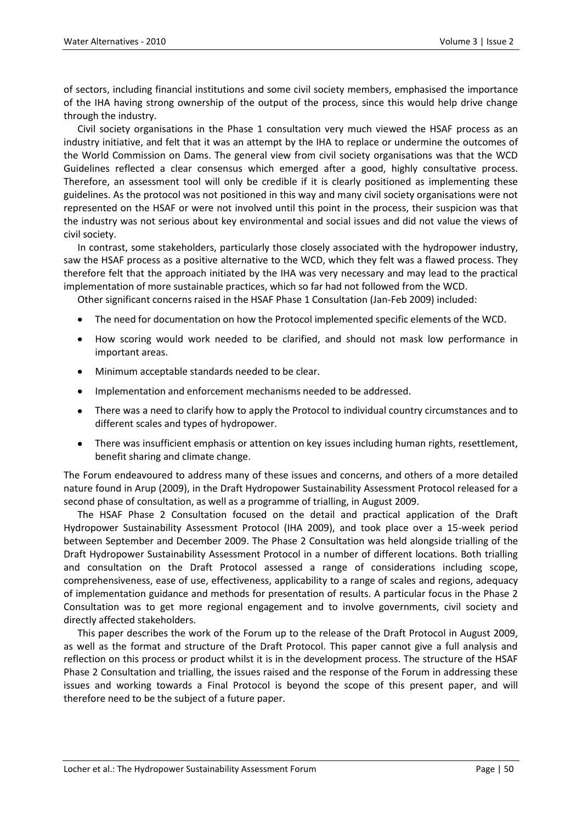of sectors, including financial institutions and some civil society members, emphasised the importance of the IHA having strong ownership of the output of the process, since this would help drive change through the industry.

Civil society organisations in the Phase 1 consultation very much viewed the HSAF process as an industry initiative, and felt that it was an attempt by the IHA to replace or undermine the outcomes of the World Commission on Dams. The general view from civil society organisations was that the WCD Guidelines reflected a clear consensus which emerged after a good, highly consultative process. Therefore, an assessment tool will only be credible if it is clearly positioned as implementing these guidelines. As the protocol was not positioned in this way and many civil society organisations were not represented on the HSAF or were not involved until this point in the process, their suspicion was that the industry was not serious about key environmental and social issues and did not value the views of civil society.

In contrast, some stakeholders, particularly those closely associated with the hydropower industry, saw the HSAF process as a positive alternative to the WCD, which they felt was a flawed process. They therefore felt that the approach initiated by the IHA was very necessary and may lead to the practical implementation of more sustainable practices, which so far had not followed from the WCD.

Other significant concerns raised in the HSAF Phase 1 Consultation (Jan-Feb 2009) included:

- The need for documentation on how the Protocol implemented specific elements of the WCD.
- How scoring would work needed to be clarified, and should not mask low performance in important areas.
- Minimum acceptable standards needed to be clear.
- Implementation and enforcement mechanisms needed to be addressed.
- There was a need to clarify how to apply the Protocol to individual country circumstances and to different scales and types of hydropower.
- There was insufficient emphasis or attention on key issues including human rights, resettlement, benefit sharing and climate change.

The Forum endeavoured to address many of these issues and concerns, and others of a more detailed nature found in Arup (2009), in the Draft Hydropower Sustainability Assessment Protocol released for a second phase of consultation, as well as a programme of trialling, in August 2009.

The HSAF Phase 2 Consultation focused on the detail and practical application of the Draft Hydropower Sustainability Assessment Protocol (IHA 2009), and took place over a 15-week period between September and December 2009. The Phase 2 Consultation was held alongside trialling of the Draft Hydropower Sustainability Assessment Protocol in a number of different locations. Both trialling and consultation on the Draft Protocol assessed a range of considerations including scope, comprehensiveness, ease of use, effectiveness, applicability to a range of scales and regions, adequacy of implementation guidance and methods for presentation of results. A particular focus in the Phase 2 Consultation was to get more regional engagement and to involve governments, civil society and directly affected stakeholders.

This paper describes the work of the Forum up to the release of the Draft Protocol in August 2009, as well as the format and structure of the Draft Protocol. This paper cannot give a full analysis and reflection on this process or product whilst it is in the development process. The structure of the HSAF Phase 2 Consultation and trialling, the issues raised and the response of the Forum in addressing these issues and working towards a Final Protocol is beyond the scope of this present paper, and will therefore need to be the subject of a future paper.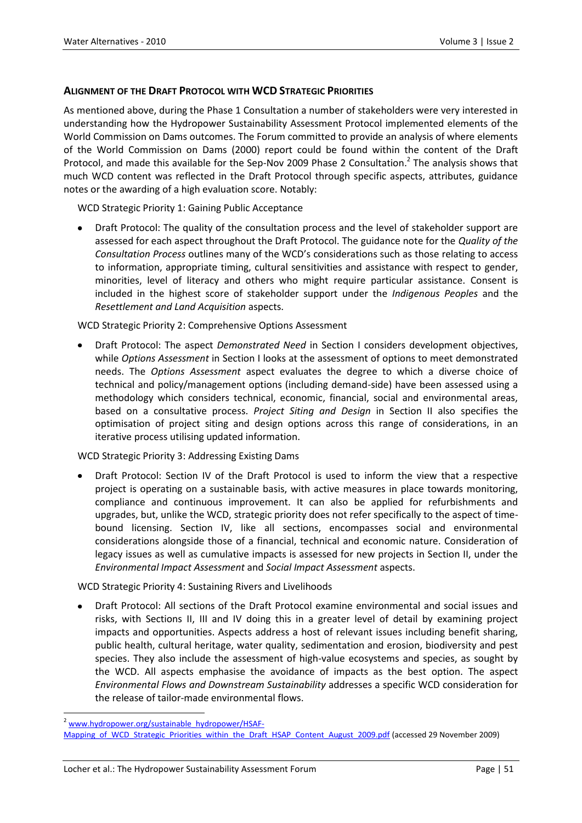## **ALIGNMENT OF THE DRAFT PROTOCOL WITH WCD STRATEGIC PRIORITIES**

As mentioned above, during the Phase 1 Consultation a number of stakeholders were very interested in understanding how the Hydropower Sustainability Assessment Protocol implemented elements of the World Commission on Dams outcomes. The Forum committed to provide an analysis of where elements of the World Commission on Dams (2000) report could be found within the content of the Draft Protocol, and made this available for the Sep-Nov 2009 Phase 2 Consultation.<sup>2</sup> The analysis shows that much WCD content was reflected in the Draft Protocol through specific aspects, attributes, guidance notes or the awarding of a high evaluation score. Notably:

WCD Strategic Priority 1: Gaining Public Acceptance

Draft Protocol: The quality of the consultation process and the level of stakeholder support are assessed for each aspect throughout the Draft Protocol. The guidance note for the *Quality of the Consultation Process* outlines many of the WCD's considerations such as those relating to access to information, appropriate timing, cultural sensitivities and assistance with respect to gender, minorities, level of literacy and others who might require particular assistance. Consent is included in the highest score of stakeholder support under the *Indigenous Peoples* and the *Resettlement and Land Acquisition* aspects.

WCD Strategic Priority 2: Comprehensive Options Assessment

Draft Protocol: The aspect *Demonstrated Need* in Section I considers development objectives, while *Options Assessment* in Section I looks at the assessment of options to meet demonstrated needs. The *Options Assessment* aspect evaluates the degree to which a diverse choice of technical and policy/management options (including demand-side) have been assessed using a methodology which considers technical, economic, financial, social and environmental areas, based on a consultative process. *Project Siting and Design* in Section II also specifies the optimisation of project siting and design options across this range of considerations, in an iterative process utilising updated information.

WCD Strategic Priority 3: Addressing Existing Dams

Draft Protocol: Section IV of the Draft Protocol is used to inform the view that a respective project is operating on a sustainable basis, with active measures in place towards monitoring, compliance and continuous improvement. It can also be applied for refurbishments and upgrades, but, unlike the WCD, strategic priority does not refer specifically to the aspect of timebound licensing. Section IV, like all sections, encompasses social and environmental considerations alongside those of a financial, technical and economic nature. Consideration of legacy issues as well as cumulative impacts is assessed for new projects in Section II, under the *Environmental Impact Assessment* and *Social Impact Assessment* aspects.

WCD Strategic Priority 4: Sustaining Rivers and Livelihoods

Draft Protocol: All sections of the Draft Protocol examine environmental and social issues and risks, with Sections II, III and IV doing this in a greater level of detail by examining project impacts and opportunities. Aspects address a host of relevant issues including benefit sharing, public health, cultural heritage, water quality, sedimentation and erosion, biodiversity and pest species. They also include the assessment of high-value ecosystems and species, as sought by the WCD. All aspects emphasise the avoidance of impacts as the best option. The aspect *Environmental Flows and Downstream Sustainability* addresses a specific WCD consideration for the release of tailor-made environmental flows.

 $\ddot{\phantom{a}}$ <sup>2</sup> [www.hydropower.org/sustainable\\_hydropower/HSAF-](http://www.hydropower.org/sustainable_hydropower/HSAF-Mapping_of_WCD_Strategic_Priorities_within_the_Draft_HSAP_Content_August_2009.pdf)

[Mapping\\_of\\_WCD\\_Strategic\\_Priorities\\_within\\_the\\_Draft\\_HSAP\\_Content\\_August\\_2009.pdf](http://www.hydropower.org/sustainable_hydropower/HSAF-Mapping_of_WCD_Strategic_Priorities_within_the_Draft_HSAP_Content_August_2009.pdf) (accessed 29 November 2009)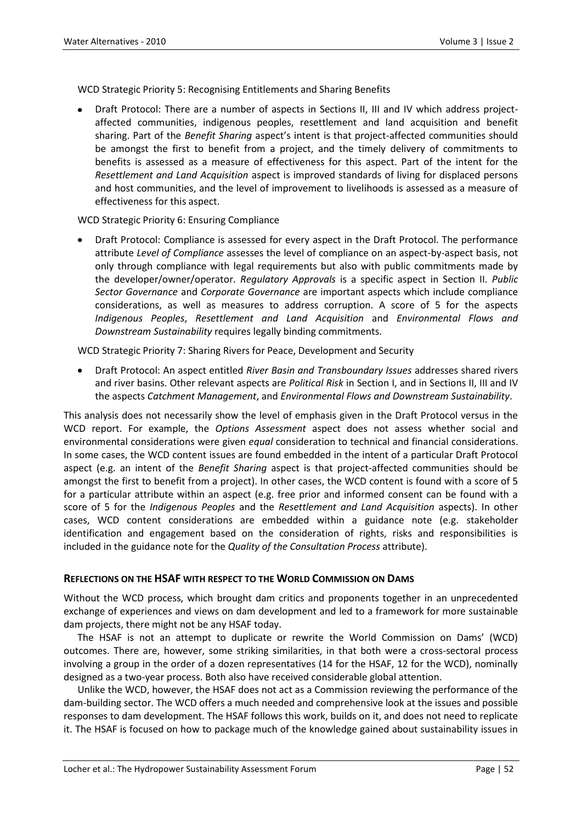WCD Strategic Priority 5: Recognising Entitlements and Sharing Benefits

Draft Protocol: There are a number of aspects in Sections II, III and IV which address projectaffected communities, indigenous peoples, resettlement and land acquisition and benefit sharing. Part of the *Benefit Sharing* aspect's intent is that project-affected communities should be amongst the first to benefit from a project, and the timely delivery of commitments to benefits is assessed as a measure of effectiveness for this aspect. Part of the intent for the *Resettlement and Land Acquisition* aspect is improved standards of living for displaced persons and host communities, and the level of improvement to livelihoods is assessed as a measure of effectiveness for this aspect.

WCD Strategic Priority 6: Ensuring Compliance

Draft Protocol: Compliance is assessed for every aspect in the Draft Protocol. The performance attribute *Level of Compliance* assesses the level of compliance on an aspect-by-aspect basis, not only through compliance with legal requirements but also with public commitments made by the developer/owner/operator. *Regulatory Approvals* is a specific aspect in Section II. *Public Sector Governance* and *Corporate Governance* are important aspects which include compliance considerations, as well as measures to address corruption. A score of 5 for the aspects *Indigenous Peoples*, *Resettlement and Land Acquisition* and *Environmental Flows and Downstream Sustainability* requires legally binding commitments.

WCD Strategic Priority 7: Sharing Rivers for Peace, Development and Security

Draft Protocol: An aspect entitled *River Basin and Transboundary Issues* addresses shared rivers and river basins. Other relevant aspects are *Political Risk* in Section I, and in Sections II, III and IV the aspects *Catchment Management*, and *Environmental Flows and Downstream Sustainability*.

This analysis does not necessarily show the level of emphasis given in the Draft Protocol versus in the WCD report. For example, the *Options Assessment* aspect does not assess whether social and environmental considerations were given *equal* consideration to technical and financial considerations. In some cases, the WCD content issues are found embedded in the intent of a particular Draft Protocol aspect (e.g. an intent of the *Benefit Sharing* aspect is that project-affected communities should be amongst the first to benefit from a project). In other cases, the WCD content is found with a score of 5 for a particular attribute within an aspect (e.g. free prior and informed consent can be found with a score of 5 for the *Indigenous Peoples* and the *Resettlement and Land Acquisition* aspects). In other cases, WCD content considerations are embedded within a guidance note (e.g. stakeholder identification and engagement based on the consideration of rights, risks and responsibilities is included in the guidance note for the *Quality of the Consultation Process* attribute).

## **REFLECTIONS ON THE HSAF WITH RESPECT TO THE WORLD COMMISSION ON DAMS**

Without the WCD process, which brought dam critics and proponents together in an unprecedented exchange of experiences and views on dam development and led to a framework for more sustainable dam projects, there might not be any HSAF today.

The HSAF is not an attempt to duplicate or rewrite the World Commission on Dams' (WCD) outcomes. There are, however, some striking similarities, in that both were a cross-sectoral process involving a group in the order of a dozen representatives (14 for the HSAF, 12 for the WCD), nominally designed as a two-year process. Both also have received considerable global attention.

Unlike the WCD, however, the HSAF does not act as a Commission reviewing the performance of the dam-building sector. The WCD offers a much needed and comprehensive look at the issues and possible responses to dam development. The HSAF follows this work, builds on it, and does not need to replicate it. The HSAF is focused on how to package much of the knowledge gained about sustainability issues in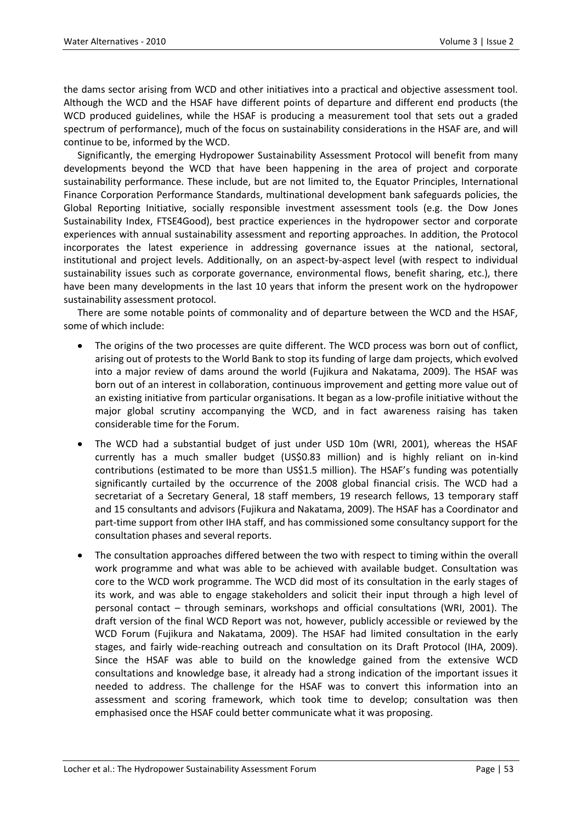the dams sector arising from WCD and other initiatives into a practical and objective assessment tool. Although the WCD and the HSAF have different points of departure and different end products (the WCD produced guidelines, while the HSAF is producing a measurement tool that sets out a graded spectrum of performance), much of the focus on sustainability considerations in the HSAF are, and will continue to be, informed by the WCD.

Significantly, the emerging Hydropower Sustainability Assessment Protocol will benefit from many developments beyond the WCD that have been happening in the area of project and corporate sustainability performance. These include, but are not limited to, the Equator Principles, International Finance Corporation Performance Standards, multinational development bank safeguards policies, the Global Reporting Initiative, socially responsible investment assessment tools (e.g. the Dow Jones Sustainability Index, FTSE4Good), best practice experiences in the hydropower sector and corporate experiences with annual sustainability assessment and reporting approaches. In addition, the Protocol incorporates the latest experience in addressing governance issues at the national, sectoral, institutional and project levels. Additionally, on an aspect-by-aspect level (with respect to individual sustainability issues such as corporate governance, environmental flows, benefit sharing, etc.), there have been many developments in the last 10 years that inform the present work on the hydropower sustainability assessment protocol.

There are some notable points of commonality and of departure between the WCD and the HSAF, some of which include:

- The origins of the two processes are quite different. The WCD process was born out of conflict, arising out of protests to the World Bank to stop its funding of large dam projects, which evolved into a major review of dams around the world (Fujikura and Nakatama, 2009). The HSAF was born out of an interest in collaboration, continuous improvement and getting more value out of an existing initiative from particular organisations. It began as a low-profile initiative without the major global scrutiny accompanying the WCD, and in fact awareness raising has taken considerable time for the Forum.
- The WCD had a substantial budget of just under USD 10m (WRI, 2001), whereas the HSAF currently has a much smaller budget (US\$0.83 million) and is highly reliant on in-kind contributions (estimated to be more than US\$1.5 million). The HSAF's funding was potentially significantly curtailed by the occurrence of the 2008 global financial crisis. The WCD had a secretariat of a Secretary General, 18 staff members, 19 research fellows, 13 temporary staff and 15 consultants and advisors (Fujikura and Nakatama, 2009). The HSAF has a Coordinator and part-time support from other IHA staff, and has commissioned some consultancy support for the consultation phases and several reports.
- The consultation approaches differed between the two with respect to timing within the overall work programme and what was able to be achieved with available budget. Consultation was core to the WCD work programme. The WCD did most of its consultation in the early stages of its work, and was able to engage stakeholders and solicit their input through a high level of personal contact – through seminars, workshops and official consultations (WRI, 2001). The draft version of the final WCD Report was not, however, publicly accessible or reviewed by the WCD Forum (Fujikura and Nakatama, 2009). The HSAF had limited consultation in the early stages, and fairly wide-reaching outreach and consultation on its Draft Protocol (IHA, 2009). Since the HSAF was able to build on the knowledge gained from the extensive WCD consultations and knowledge base, it already had a strong indication of the important issues it needed to address. The challenge for the HSAF was to convert this information into an assessment and scoring framework, which took time to develop; consultation was then emphasised once the HSAF could better communicate what it was proposing.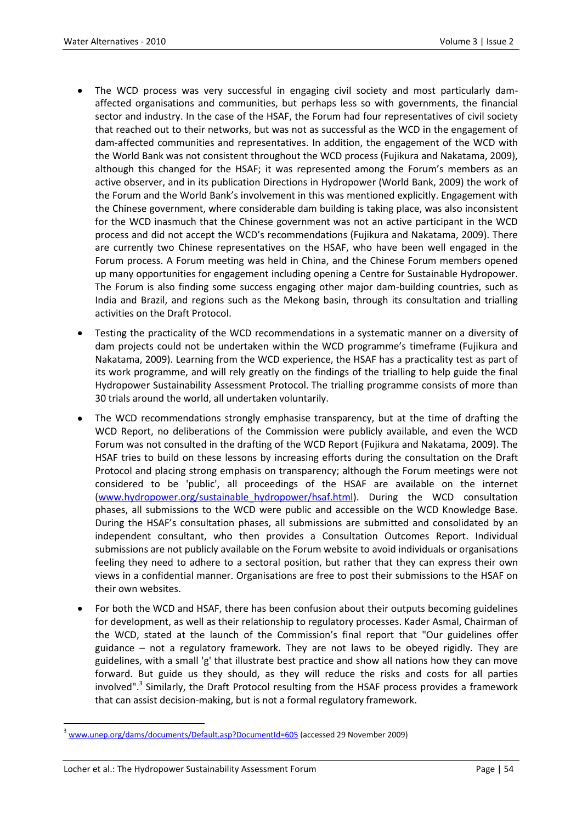- The WCD process was very successful in engaging civil society and most particularly damaffected organisations and communities, but perhaps less so with governments, the financial sector and industry. In the case of the HSAF, the Forum had four representatives of civil society that reached out to their networks, but was not as successful as the WCD in the engagement of dam-affected communities and representatives. In addition, the engagement of the WCD with the World Bank was not consistent throughout the WCD process (Fujikura and Nakatama, 2009), although this changed for the HSAF; it was represented among the Forum's members as an active observer, and in its publication Directions in Hydropower (World Bank, 2009) the work of the Forum and the World Bank's involvement in this was mentioned explicitly. Engagement with the Chinese government, where considerable dam building is taking place, was also inconsistent for the WCD inasmuch that the Chinese government was not an active participant in the WCD process and did not accept the WCD's recommendations (Fujikura and Nakatama, 2009). There are currently two Chinese representatives on the HSAF, who have been well engaged in the Forum process. A Forum meeting was held in China, and the Chinese Forum members opened up many opportunities for engagement including opening a Centre for Sustainable Hydropower. The Forum is also finding some success engaging other major dam-building countries, such as India and Brazil, and regions such as the Mekong basin, through its consultation and trialling activities on the Draft Protocol.
- Testing the practicality of the WCD recommendations in a systematic manner on a diversity of dam projects could not be undertaken within the WCD programme's timeframe (Fujikura and Nakatama, 2009). Learning from the WCD experience, the HSAF has a practicality test as part of its work programme, and will rely greatly on the findings of the trialling to help guide the final Hydropower Sustainability Assessment Protocol. The trialling programme consists of more than 30 trials around the world, all undertaken voluntarily.
- The WCD recommendations strongly emphasise transparency, but at the time of drafting the WCD Report, no deliberations of the Commission were publicly available, and even the WCD Forum was not consulted in the drafting of the WCD Report (Fujikura and Nakatama, 2009). The HSAF tries to build on these lessons by increasing efforts during the consultation on the Draft Protocol and placing strong emphasis on transparency; although the Forum meetings were not considered to be 'public', all proceedings of the HSAF are available on the internet [\(www.hydropower.org/sustainable\\_hydropower/hsaf.html\)](http://www.hydropower.org/sustainable_hydropower/hsaf.html). During the WCD consultation phases, all submissions to the WCD were public and accessible on the WCD Knowledge Base. During the HSAF's consultation phases, all submissions are submitted and consolidated by an independent consultant, who then provides a Consultation Outcomes Report. Individual submissions are not publicly available on the Forum website to avoid individuals or organisations feeling they need to adhere to a sectoral position, but rather that they can express their own views in a confidential manner. Organisations are free to post their submissions to the HSAF on their own websites.
- For both the WCD and HSAF, there has been confusion about their outputs becoming guidelines for development, as well as their relationship to regulatory processes. Kader Asmal, Chairman of the WCD, stated at the launch of the Commission's final report that "Our guidelines offer guidance – not a regulatory framework. They are not laws to be obeyed rigidly. They are guidelines, with a small 'g' that illustrate best practice and show all nations how they can move forward. But guide us they should, as they will reduce the risks and costs for all parties involved".<sup>3</sup> Similarly, the Draft Protocol resulting from the HSAF process provides a framework that can assist decision-making, but is not a formal regulatory framework.

 $\ddot{\phantom{a}}$ 

<sup>3</sup> [www.unep.org/dams/documents/Default.asp?DocumentId=605](http://www.unep.org/dams/documents/Default.asp?DocumentId=605) (accessed 29 November 2009)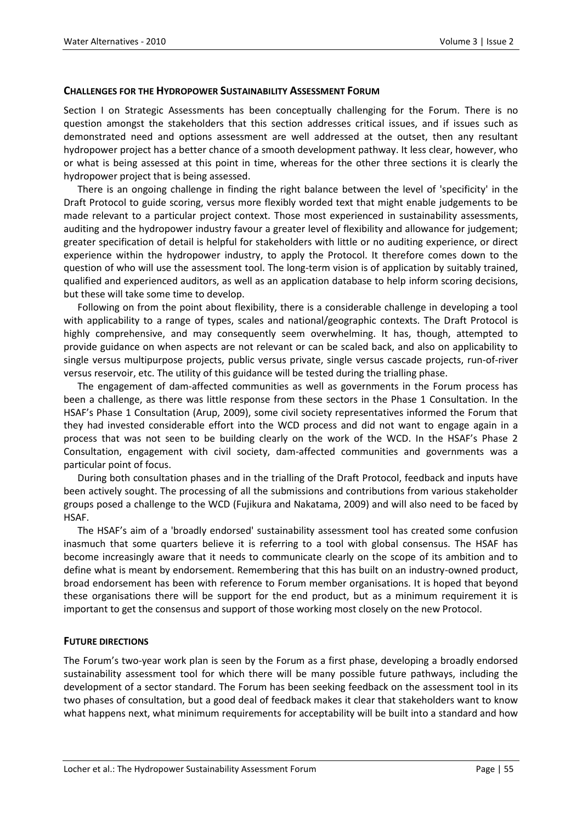#### **CHALLENGES FOR THE HYDROPOWER SUSTAINABILITY ASSESSMENT FORUM**

Section I on Strategic Assessments has been conceptually challenging for the Forum. There is no question amongst the stakeholders that this section addresses critical issues, and if issues such as demonstrated need and options assessment are well addressed at the outset, then any resultant hydropower project has a better chance of a smooth development pathway. It less clear, however, who or what is being assessed at this point in time, whereas for the other three sections it is clearly the hydropower project that is being assessed.

There is an ongoing challenge in finding the right balance between the level of 'specificity' in the Draft Protocol to guide scoring, versus more flexibly worded text that might enable judgements to be made relevant to a particular project context. Those most experienced in sustainability assessments, auditing and the hydropower industry favour a greater level of flexibility and allowance for judgement; greater specification of detail is helpful for stakeholders with little or no auditing experience, or direct experience within the hydropower industry, to apply the Protocol. It therefore comes down to the question of who will use the assessment tool. The long-term vision is of application by suitably trained, qualified and experienced auditors, as well as an application database to help inform scoring decisions, but these will take some time to develop.

Following on from the point about flexibility, there is a considerable challenge in developing a tool with applicability to a range of types, scales and national/geographic contexts. The Draft Protocol is highly comprehensive, and may consequently seem overwhelming. It has, though, attempted to provide guidance on when aspects are not relevant or can be scaled back, and also on applicability to single versus multipurpose projects, public versus private, single versus cascade projects, run-of-river versus reservoir, etc. The utility of this guidance will be tested during the trialling phase.

The engagement of dam-affected communities as well as governments in the Forum process has been a challenge, as there was little response from these sectors in the Phase 1 Consultation. In the HSAF's Phase 1 Consultation (Arup, 2009), some civil society representatives informed the Forum that they had invested considerable effort into the WCD process and did not want to engage again in a process that was not seen to be building clearly on the work of the WCD. In the HSAF's Phase 2 Consultation, engagement with civil society, dam-affected communities and governments was a particular point of focus.

During both consultation phases and in the trialling of the Draft Protocol, feedback and inputs have been actively sought. The processing of all the submissions and contributions from various stakeholder groups posed a challenge to the WCD (Fujikura and Nakatama, 2009) and will also need to be faced by HSAF.

The HSAF's aim of a 'broadly endorsed' sustainability assessment tool has created some confusion inasmuch that some quarters believe it is referring to a tool with global consensus. The HSAF has become increasingly aware that it needs to communicate clearly on the scope of its ambition and to define what is meant by endorsement. Remembering that this has built on an industry-owned product, broad endorsement has been with reference to Forum member organisations. It is hoped that beyond these organisations there will be support for the end product, but as a minimum requirement it is important to get the consensus and support of those working most closely on the new Protocol.

## **FUTURE DIRECTIONS**

The Forum's two-year work plan is seen by the Forum as a first phase, developing a broadly endorsed sustainability assessment tool for which there will be many possible future pathways, including the development of a sector standard. The Forum has been seeking feedback on the assessment tool in its two phases of consultation, but a good deal of feedback makes it clear that stakeholders want to know what happens next, what minimum requirements for acceptability will be built into a standard and how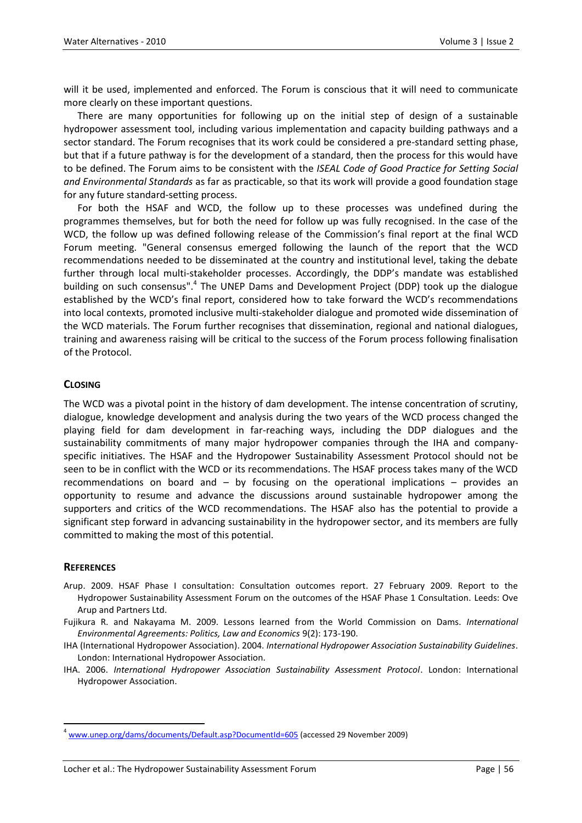will it be used, implemented and enforced. The Forum is conscious that it will need to communicate more clearly on these important questions.

There are many opportunities for following up on the initial step of design of a sustainable hydropower assessment tool, including various implementation and capacity building pathways and a sector standard. The Forum recognises that its work could be considered a pre-standard setting phase, but that if a future pathway is for the development of a standard, then the process for this would have to be defined. The Forum aims to be consistent with the *ISEAL Code of Good Practice for Setting Social and Environmental Standards* as far as practicable, so that its work will provide a good foundation stage for any future standard-setting process.

For both the HSAF and WCD, the follow up to these processes was undefined during the programmes themselves, but for both the need for follow up was fully recognised. In the case of the WCD, the follow up was defined following release of the Commission's final report at the final WCD Forum meeting. "General consensus emerged following the launch of the report that the WCD recommendations needed to be disseminated at the country and institutional level, taking the debate further through local multi-stakeholder processes. Accordingly, the DDP's mandate was established building on such consensus".<sup>4</sup> The UNEP Dams and Development Project (DDP) took up the dialogue established by the WCD's final report, considered how to take forward the WCD's recommendations into local contexts, promoted inclusive multi-stakeholder dialogue and promoted wide dissemination of the WCD materials. The Forum further recognises that dissemination, regional and national dialogues, training and awareness raising will be critical to the success of the Forum process following finalisation of the Protocol.

# **CLOSING**

The WCD was a pivotal point in the history of dam development. The intense concentration of scrutiny, dialogue, knowledge development and analysis during the two years of the WCD process changed the playing field for dam development in far-reaching ways, including the DDP dialogues and the sustainability commitments of many major hydropower companies through the IHA and companyspecific initiatives. The HSAF and the Hydropower Sustainability Assessment Protocol should not be seen to be in conflict with the WCD or its recommendations. The HSAF process takes many of the WCD recommendations on board and – by focusing on the operational implications – provides an opportunity to resume and advance the discussions around sustainable hydropower among the supporters and critics of the WCD recommendations. The HSAF also has the potential to provide a significant step forward in advancing sustainability in the hydropower sector, and its members are fully committed to making the most of this potential.

# **REFERENCES**

 $\ddot{\phantom{a}}$ 

- Arup. 2009. HSAF Phase I consultation: Consultation outcomes report. 27 February 2009. Report to the Hydropower Sustainability Assessment Forum on the outcomes of the HSAF Phase 1 Consultation. Leeds: Ove Arup and Partners Ltd.
- Fujikura R. and Nakayama M. 2009. Lessons learned from the World Commission on Dams. *International Environmental Agreements: Politics, Law and Economics* 9(2): 173-190.
- IHA (International Hydropower Association). 2004. *International Hydropower Association Sustainability Guidelines*. London: International Hydropower Association.
- IHA. 2006. *International Hydropower Association Sustainability Assessment Protocol*. London: International Hydropower Association.

<sup>4</sup> [www.unep.org/dams/documents/Default.asp?DocumentId=605](http://www.unep.org/dams/documents/Default.asp?DocumentId=605) (accessed 29 November 2009)